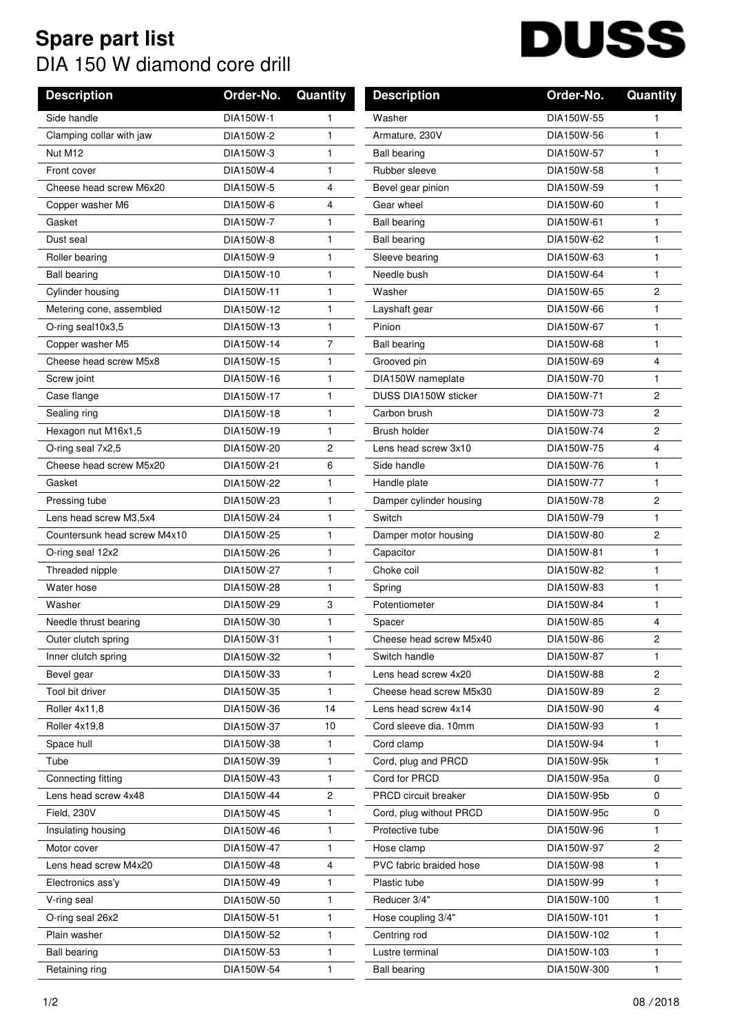## **Spare part list** DIA 150 W diamond core drill

## **DUSS**

| <b>Description</b>           | Order-No.  | Quantity       | <b>Description</b>      | Order-No.   | Quantity       |
|------------------------------|------------|----------------|-------------------------|-------------|----------------|
| Side handle                  | DIA150W-1  | 1              | Washer                  | DIA150W-55  | 1              |
| Clamping collar with jaw     | DIA150W-2  | 1              | Armature, 230V          | DIA150W-56  | 1              |
| Nut M12                      | DIA150W-3  | 1              | <b>Ball bearing</b>     | DIA150W-57  | 1              |
| Front cover                  | DIA150W-4  | 1              | Rubber sleeve           | DIA150W-58  | 1              |
| Cheese head screw M6x20      | DIA150W-5  | 4              | Bevel gear pinion       | DIA150W-59  | 1              |
| Copper washer M6             | DIA150W-6  | 4              | Gear wheel              | DIA150W-60  | 1              |
| Gasket                       | DIA150W-7  | 1              | <b>Ball bearing</b>     | DIA150W-61  | 1              |
| Dust seal                    | DIA150W-8  | 1              | <b>Ball bearing</b>     | DIA150W-62  | 1              |
| Roller bearing               | DIA150W-9  | $\mathbf{1}$   | Sleeve bearing          | DIA150W-63  | 1              |
| <b>Ball bearing</b>          | DIA150W-10 | 1              | Needle bush             | DIA150W-64  | 1              |
| Cylinder housing             | DIA150W-11 | 1              | Washer                  | DIA150W-65  | $\overline{c}$ |
| Metering cone, assembled     | DIA150W-12 | 1              | Layshaft gear           | DIA150W-66  | 1              |
| O-ring seal10x3,5            | DIA150W-13 | 1              | Pinion                  | DIA150W-67  | 1              |
| Copper washer M5             | DIA150W-14 | $\overline{7}$ | <b>Ball bearing</b>     | DIA150W-68  | 1              |
| Cheese head screw M5x8       | DIA150W-15 | 1              | Grooved pin             | DIA150W-69  | 4              |
| Screw joint                  | DIA150W-16 | 1              | DIA150W nameplate       | DIA150W-70  | 1              |
| Case flange                  | DIA150W-17 | 1              | DUSS DIA150W sticker    | DIA150W-71  | $\overline{c}$ |
| Sealing ring                 | DIA150W-18 | 1              | Carbon brush            | DIA150W-73  | $\overline{c}$ |
| Hexagon nut M16x1,5          | DIA150W-19 | 1              | Brush holder            | DIA150W-74  | $\overline{c}$ |
| O-ring seal 7x2,5            | DIA150W-20 | 2              | Lens head screw 3x10    | DIA150W-75  | 4              |
| Cheese head screw M5x20      | DIA150W-21 | 6              | Side handle             | DIA150W-76  | 1              |
| Gasket                       | DIA150W-22 | 1              | Handle plate            | DIA150W-77  | 1              |
| Pressing tube                | DIA150W-23 | 1              | Damper cylinder housing | DIA150W-78  | $\overline{2}$ |
| Lens head screw M3,5x4       | DIA150W-24 | 1              | Switch                  | DIA150W-79  | 1              |
| Countersunk head screw M4x10 | DIA150W-25 | 1              | Damper motor housing    | DIA150W-80  | $\overline{2}$ |
| O-ring seal 12x2             | DIA150W-26 | 1              | Capacitor               | DIA150W-81  | 1              |
| Threaded nipple              | DIA150W-27 | 1              | Choke coil              | DIA150W-82  | 1              |
| Water hose                   | DIA150W-28 | 1              | Spring                  | DIA150W-83  | 1              |
| Washer                       | DIA150W-29 | 3              | Potentiometer           | DIA150W-84  | 1              |
| Needle thrust bearing        | DIA150W-30 | 1              | Spacer                  | DIA150W-85  | 4              |
| Outer clutch spring          | DIA150W-31 | 1              | Cheese head screw M5x40 | DIA150W-86  | 2              |
| Inner clutch spring          | DIA150W-32 | 1              | Switch handle           | DIA150W-87  | 1              |
| Bevel gear                   | DIA150W-33 | 1              | Lens head screw 4x20    | DIA150W-88  | 2              |
| Tool bit driver              | DIA150W-35 | 1              | Cheese head screw M5x30 | DIA150W-89  | 2              |
| Roller 4x11,8                | DIA150W-36 | 14             | Lens head screw 4x14    | DIA150W-90  | 4              |
| Roller 4x19,8                | DIA150W-37 | 10             | Cord sleeve dia, 10mm   | DIA150W-93  | 1              |
| Space hull                   | DIA150W-38 | 1              | Cord clamp              | DIA150W-94  | 1              |
| Tube                         | DIA150W-39 | 1.             | Cord, plug and PRCD     | DIA150W-95k | 1              |
| Connecting fitting           | DIA150W-43 | $\mathbf{1}$   | Cord for PRCD           | DIA150W-95a | $\mathbf 0$    |
| Lens head screw 4x48         | DIA150W-44 | 2              | PRCD circuit breaker    | DIA150W-95b | 0              |
| Field, 230V                  | DIA150W-45 | 1              | Cord, plug without PRCD | DIA150W-95c | 0              |
| Insulating housing           | DIA150W-46 | 1              | Protective tube         | DIA150W-96  | 1              |
| Motor cover                  | DIA150W-47 | 1              | Hose clamp              | DIA150W-97  | 2              |
| Lens head screw M4x20        | DIA150W-48 | 4              | PVC fabric braided hose | DIA150W-98  | 1              |
| Electronics ass'y            | DIA150W-49 | 1              | Plastic tube            | DIA150W-99  | 1              |
| V-ring seal                  | DIA150W-50 | 1              | Reducer 3/4"            | DIA150W-100 | 1              |
| O-ring seal 26x2             | DIA150W-51 | 1              | Hose coupling 3/4"      | DIA150W-101 | 1              |
| Plain washer                 | DIA150W-52 | 1              | Centring rod            | DIA150W-102 | 1              |
| <b>Ball bearing</b>          | DIA150W-53 | 1              | Lustre terminal         | DIA150W-103 | 1              |
| Retaining ring               | DIA150W-54 | 1              | <b>Ball bearing</b>     | DIA150W-300 | 1              |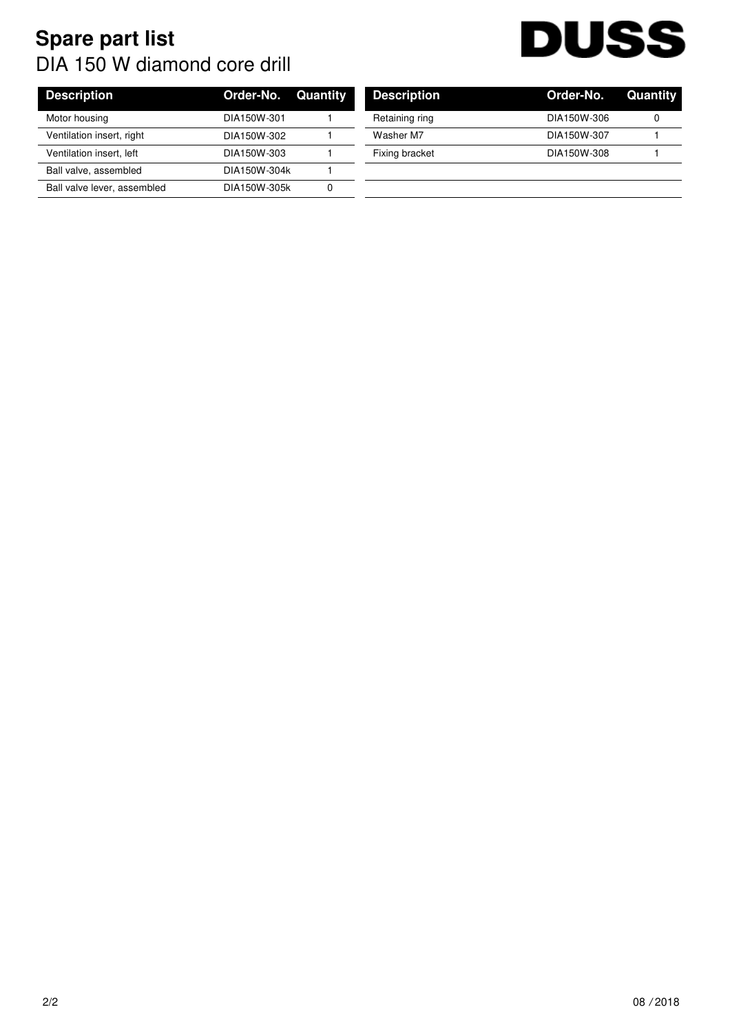## **Spare part list** DIA 150 W diamond core drill



| <b>Description</b>          | <b>Order-No. Quantity</b> | <b>Description</b> | Order-No.   | Quan |
|-----------------------------|---------------------------|--------------------|-------------|------|
| Motor housing               | DIA150W-301               | Retaining ring     | DIA150W-306 |      |
| Ventilation insert, right   | DIA150W-302               | Washer M7          | DIA150W-307 |      |
| Ventilation insert, left    | DIA150W-303               | Fixing bracket     | DIA150W-308 |      |
| Ball valve, assembled       | DIA150W-304k              |                    |             |      |
| Ball valve lever, assembled | DIA150W-305k              |                    |             |      |

| <b>Description</b> | <b>Order-No. Quantity</b> |   |
|--------------------|---------------------------|---|
| Retaining ring     | DIA150W-306               | O |
| Washer M7          | DIA150W-307               |   |
| Fixing bracket     | DIA150W-308               |   |
|                    |                           |   |